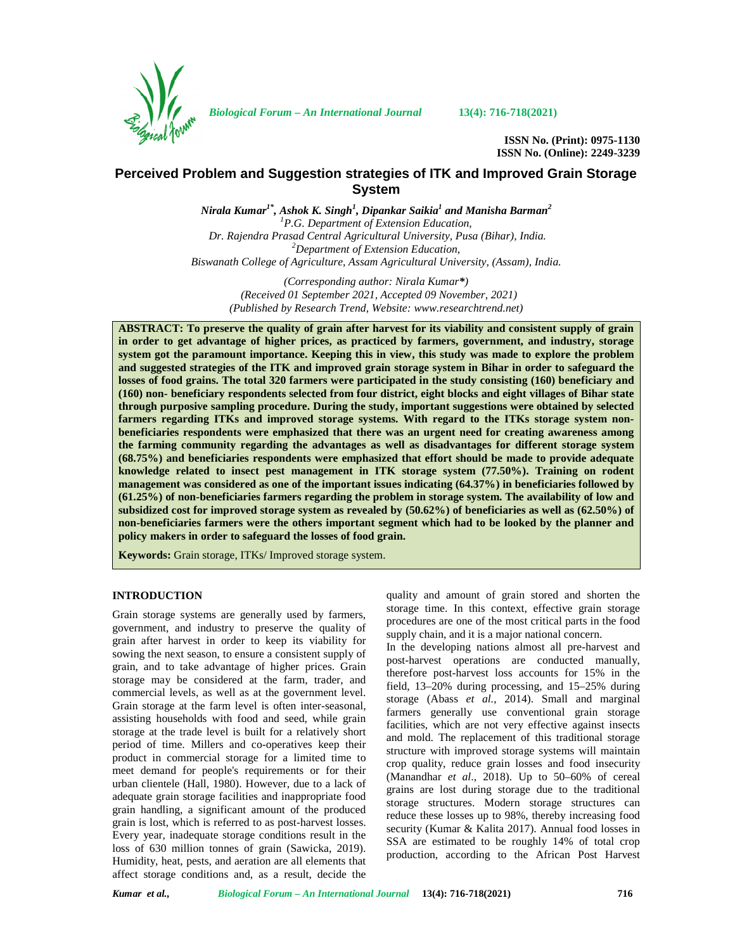

*Biological Forum – An International Journal* **13(4): 716-718(2021)**

**ISSN No. (Print): 0975-1130 ISSN No. (Online): 2249-3239**

# **Perceived Problem and Suggestion strategies of ITK and Improved Grain Storage System**

*Nirala Kumar1\* , Ashok K. Singh<sup>1</sup> , Dipankar Saikia<sup>1</sup> and Manisha Barman<sup>2</sup> <sup>1</sup>P.G. Department of Extension Education, Dr. Rajendra Prasad Central Agricultural University, Pusa (Bihar), India. <sup>2</sup>Department of Extension Education, Biswanath College of Agriculture, Assam Agricultural University, (Assam), India.*

*(Corresponding author: Nirala Kumar\*) (Received 01 September 2021, Accepted 09 November, 2021) (Published by Research Trend, Website: [www.researchtrend.net\)](www.researchtrend.net)*

**ABSTRACT: To preserve the quality of grain after harvest for its viability and consistent supply of grain in order to get advantage of higher prices, as practiced by farmers, government, and industry, storage system got the paramount importance. Keeping this in view, this study was made to explore the problem and suggested strategies of the ITK and improved grain storage system in Bihar in order to safeguard the losses of food grains. The total 320 farmers were participated in the study consisting (160) beneficiary and (160) non- beneficiary respondents selected from four district, eight blocks and eight villages of Bihar state through purposive sampling procedure. During the study, important suggestions were obtained by selected farmers regarding ITKs and improved storage systems. With regard to the ITKs storage system non beneficiaries respondents were emphasized that there was an urgent need for creating awareness among the farming community regarding the advantages as well as disadvantages for different storage system (68.75%) and beneficiaries respondents were emphasized that effort should be made to provide adequate knowledge related to insect pest management in ITK storage system (77.50%). Training on rodent management was considered as one of the important issues indicating (64.37%) in beneficiaries followed by (61.25%) of non-beneficiaries farmers regarding the problem in storage system. The availability of low and subsidized cost for improved storage system as revealed by (50.62%) of beneficiaries as well as (62.50%) of non-beneficiaries farmers were the others important segment which had to be looked by the planner and policy makers in order to safeguard the losses of food grain.**

**Keywords:** Grain storage, ITKs/ Improved storage system.

#### **INTRODUCTION**

Grain storage systems are generally used by farmers, government, and industry to preserve the quality of grain after harvest in order to keep its viability for sowing the next season, to ensure a consistent supply of grain, and to take advantage of higher prices. Grain storage may be considered at the farm, trader, and commercial levels, as well as at the government level. Grain storage at the farm level is often inter-seasonal, assisting households with food and seed, while grain storage at the trade level is built for a relatively short period of time. Millers and co-operatives keep their product in commercial storage for a limited time to meet demand for people's requirements or for their urban clientele (Hall, 1980). However, due to a lack of adequate grain storage facilities and inappropriate food grain handling, a significant amount of the produced grain is lost, which is referred to as post-harvest losses. Every year, inadequate storage conditions result in the loss of 630 million tonnes of grain (Sawicka, 2019). Humidity, heat, pests, and aeration are all elements that affect storage conditions and, as a result, decide the quality and amount of grain stored and shorten the storage time. In this context, effective grain storage procedures are one of the most critical parts in the food supply chain, and it is a major national concern.

In the developing nations almost all pre-harvest and post-harvest operations are conducted manually, therefore post-harvest loss accounts for 15% in the field, 13–20% during processing, and 15–25% during storage (Abass *et al.*, 2014). Small and marginal farmers generally use conventional grain storage facilities, which are not very effective against insects and mold. The replacement of this traditional storage structure with improved storage systems will maintain crop quality, reduce grain losses and food insecurity (Manandhar *et al*., 2018). Up to 50–60% of cereal grains are lost during storage due to the traditional storage structures. Modern storage structures can reduce these losses up to 98%, thereby increasing food security (Kumar & Kalita 2017). Annual food losses in SSA are estimated to be roughly 14% of total crop production, according to the African Post Harvest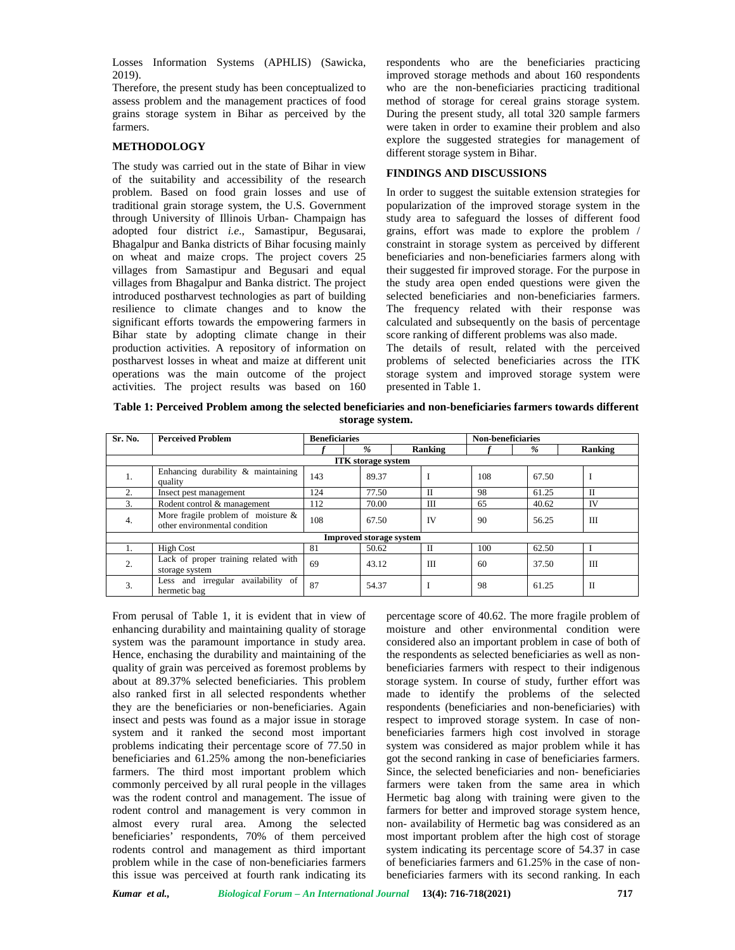Losses Information Systems (APHLIS) (Sawicka, 2019).

Therefore, the present study has been conceptualized to assess problem and the management practices of food grains storage system in Bihar as perceived by the farmers.

### **METHODOLOGY**

The study was carried out in the state of Bihar in view of the suitability and accessibility of the research problem. Based on food grain losses and use of traditional grain storage system, the U.S. Government through University of Illinois Urban- Champaign has adopted four district *i.e*., Samastipur, Begusarai, Bhagalpur and Banka districts of Bihar focusing mainly on wheat and maize crops. The project covers 25 villages from Samastipur and Begusari and equal villages from Bhagalpur and Banka district. The project introduced postharvest technologies as part of building resilience to climate changes and to know the significant efforts towards the empowering farmers in Bihar state by adopting climate change in their production activities. A repository of information on postharvest losses in wheat and maize at different unit operations was the main outcome of the project activities. The project results was based on 160

respondents who are the beneficiaries practicing improved storage methods and about 160 respondents who are the non-beneficiaries practicing traditional method of storage for cereal grains storage system. During the present study, all total 320 sample farmers were taken in order to examine their problem and also explore the suggested strategies for management of different storage system in Bihar.

## **FINDINGS AND DISCUSSIONS**

In order to suggest the suitable extension strategies for popularization of the improved storage system in the study area to safeguard the losses of different food grains, effort was made to explore the problem / constraint in storage system as perceived by different beneficiaries and non-beneficiaries farmers along with their suggested fir improved storage. For the purpose in the study area open ended questions were given the selected beneficiaries and non-beneficiaries farmers. The frequency related with their response was calculated and subsequently on the basis of percentage score ranking of different problems was also made.

The details of result, related with the perceived problems of selected beneficiaries across the ITK storage system and improved storage system were presented in Table 1.

**Table 1: Perceived Problem among the selected beneficiaries and non-beneficiaries farmers towards different storage system.**

| Sr. No.          | <b>Perceived Problem</b>                                               | <b>Beneficiaries</b> |                                |              | <b>Non-beneficiaries</b> |       |         |
|------------------|------------------------------------------------------------------------|----------------------|--------------------------------|--------------|--------------------------|-------|---------|
|                  |                                                                        |                      | %                              | Ranking      |                          | $\%$  | Ranking |
|                  |                                                                        |                      | <b>ITK</b> storage system      |              |                          |       |         |
| 1.               | Enhancing durability & maintaining<br>quality                          | 143                  | 89.37                          | I            | 108                      | 67.50 |         |
| $\overline{2}$ . | Insect pest management                                                 | 124                  | 77.50                          | $\mathbf{I}$ | 98                       | 61.25 | П       |
| 3.               | Rodent control & management                                            | 112                  | 70.00                          | Ш            | 65                       | 40.62 | IV      |
| 4.               | More fragile problem of moisture $\&$<br>other environmental condition | 108                  | 67.50                          | <b>IV</b>    | 90                       | 56.25 | IΠ      |
|                  |                                                                        |                      | <b>Improved storage system</b> |              |                          |       |         |
|                  | <b>High Cost</b>                                                       | 81                   | 50.62                          | $\mathbf{I}$ | 100                      | 62.50 |         |
| 2.               | Lack of proper training related with<br>storage system                 | 69                   | 43.12                          | III          | 60                       | 37.50 | III     |
| 3.               | Less and irregular availability of<br>hermetic bag                     | 87                   | 54.37                          | I            | 98                       | 61.25 | П       |

From perusal of Table 1, it is evident that in view of enhancing durability and maintaining quality of storage system was the paramount importance in study area. Hence, enchasing the durability and maintaining of the quality of grain was perceived as foremost problems by about at 89.37% selected beneficiaries. This problem also ranked first in all selected respondents whether they are the beneficiaries or non-beneficiaries. Again insect and pests was found as a major issue in storage system and it ranked the second most important problems indicating their percentage score of 77.50 in beneficiaries and 61.25% among the non-beneficiaries farmers. The third most important problem which commonly perceived by all rural people in the villages was the rodent control and management. The issue of rodent control and management is very common in almost every rural area. Among the selected beneficiaries' respondents, 70% of them perceived rodents control and management as third important problem while in the case of non-beneficiaries farmers this issue was perceived at fourth rank indicating its percentage score of 40.62. The more fragile problem of moisture and other environmental condition were considered also an important problem in case of both of the respondents as selected beneficiaries as well as non beneficiaries farmers with respect to their indigenous storage system. In course of study, further effort was made to identify the problems of the selected respondents (beneficiaries and non-beneficiaries) with respect to improved storage system. In case of non beneficiaries farmers high cost involved in storage system was considered as major problem while it has got the second ranking in case of beneficiaries farmers. Since, the selected beneficiaries and non- beneficiaries farmers were taken from the same area in which Hermetic bag along with training were given to the farmers for better and improved storage system hence, non- availability of Hermetic bag was considered as an most important problem after the high cost of storage system indicating its percentage score of 54.37 in case of beneficiaries farmers and 61.25% in the case of non beneficiaries farmers with its second ranking. In each